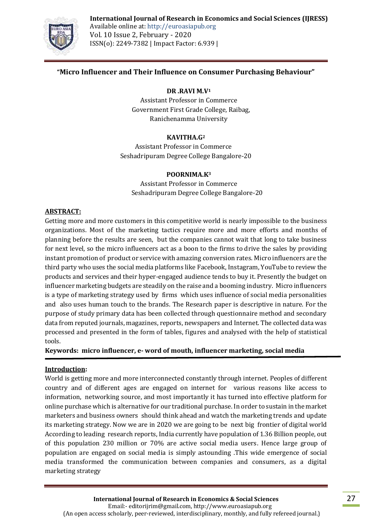#### **International Journal of Research in Economics and Social Sciences (IJRESS)**



Available online at: http://euroasiapub.org Vol. 10 Issue 2, February - 2020 ISSN(o): 2249-7382 | Impact Factor: 6.939 |

## **"Micro Influencer and Their Influence on Consumer Purchasing Behaviour"**

#### **DR .RAVI M.V<sup>1</sup>**

Assistant Professor in Commerce Government First Grade College, Raibag, Ranichenamma University

#### **KAVITHA.G<sup>2</sup>**

Assistant Professor in Commerce Seshadripuram Degree College Bangalore-20

#### **POORNIMA.K<sup>3</sup>**

Assistant Professor in Commerce Seshadripuram Degree College Bangalore-20

#### **ABSTRACT:**

Getting more and more customers in this competitive world is nearly impossible to the business organizations. Most of the marketing tactics require more and more efforts and months of planning before the results are seen, but the companies cannot wait that long to take business for next level, so the micro influencers act as a boon to the firms to drive the sales by providing instant promotion of product or service with amazing conversion rates. Micro influencers are the third party who uses the social media platforms like Facebook, Instagram, YouTube to review the products and services and their hyper-engaged audience tends to buy it. Presently the budget on influencer marketing budgets are steadily on the raise and a booming industry. Micro influencers is a type of marketing strategy used by firms which uses influence of social media personalities and also uses human touch to the brands. The Research paper is descriptive in nature. For the purpose of study primary data has been collected through questionnaire method and secondary data from reputed journals, magazines, reports, newspapers and Internet. The collected data was processed and presented in the form of tables, figures and analysed with the help of statistical tools.

**Keywords: micro influencer, e- word of mouth, influencer marketing, social media**

#### **Introduction:**

World is getting more and more interconnected constantly through internet. Peoples of different country and of different ages are engaged on internet for various reasons like access to information, networking source, and most importantly it has turned into effective platform for online purchase which is alternative for our traditional purchase. In order to sustain in the market marketers and business owners should think ahead and watch the marketing trends and update its marketing strategy. Now we are in 2020 we are going to be next big frontier of digital world According to leading research reports, India currently have population of 1.36 Billion people, out of this population 230 million or 70% are active social media users. Hence large group of population are engaged on social media is simply astounding .This wide emergence of social media transformed the communication between companies and consumers, as a digital marketing strategy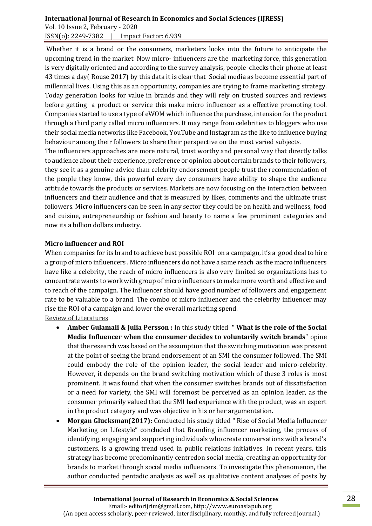## **International Journal of Research in Economics and Social Sciences (IJRESS)**  Vol. 10 Issue 2, February - 2020 ISSN(o): 2249-7382 | Impact Factor: 6.939

Whether it is a brand or the consumers, marketers looks into the future to anticipate the upcoming trend in the market. Now micro- influencers are the marketing force, this generation is very digitally oriented and according to the survey analysis, people checks their phone at least 43 times a day( Rouse 2017) by this data it is clear that Social media as become essential part of millennial lives. Using this as an opportunity, companies are trying to frame marketing strategy. Today generation looks for value in brands and they will rely on trusted sources and reviews before getting a product or service this make micro influencer as a effective promoting tool. Companies started to use a type of eWOM which influence the purchase, intension for the product through a third party called micro influencers. It may range from celebrities to bloggers who use their social media networks like Facebook, YouTube and Instagram as the like to influence buying behaviour among their followers to share their perspective on the most varied subjects.

The influencers approaches are more natural, trust worthy and personal way that directly talks to audience about their experience, preference or opinion about certain brands to their followers, they see it as a genuine advice than celebrity endorsement people trust the recommendation of the people they know, this powerful every day consumers have ability to shape the audience attitude towards the products or services. Markets are now focusing on the interaction between influencers and their audience and that is measured by likes, comments and the ultimate trust followers. Micro influencers can be seen in any sector they could be on health and wellness, food and cuisine, entrepreneurship or fashion and beauty to name a few prominent categories and now its a billion dollars industry.

#### **Micro influencer and ROI**

When companies for its brand to achieve best possible ROI on a campaign, it's a good deal to hire a group of micro influencers . Micro influencers do not have a same reach as the macro influencers have like a celebrity, the reach of micro influencers is also very limited so organizations has to concentrate wants to work with group of micro influencers to make more worth and effective and to reach of the campaign. The influencer should have good number of followers and engagement rate to be valuable to a brand. The combo of micro influencer and the celebrity influencer may rise the ROI of a campaign and lower the overall marketing spend.

Review of Literatures

- **Amber Gulamali & Julia Persson :** In this study titled **" What is the role of the Social Media Influencer when the consumer decides to voluntarily switch brands**" opine that the research was based on the assumption that the switching motivation was present at the point of seeing the brand endorsement of an SMI the consumer followed. The SMI could embody the role of the opinion leader, the social leader and micro-celebrity. However, it depends on the brand switching motivation which of these 3 roles is most prominent. It was found that when the consumer switches brands out of dissatisfaction or a need for variety, the SMI will foremost be perceived as an opinion leader, as the consumer primarily valued that the SMI had experience with the product, was an expert in the product category and was objective in his or her argumentation.
- **Morgan Glucksman(2017):** Conducted his study titled " Rise of Social Media Influencer Marketing on Lifestyle" concluded that Branding influencer marketing, the process of identifying, engaging and supporting individuals who create conversations with a brand's customers, is a growing trend used in public relations initiatives. In recent years, this strategy has become predominantly centredon social media, creating an opportunity for brands to market through social media influencers. To investigate this phenomenon, the author conducted pentadic analysis as well as qualitative content analyses of posts by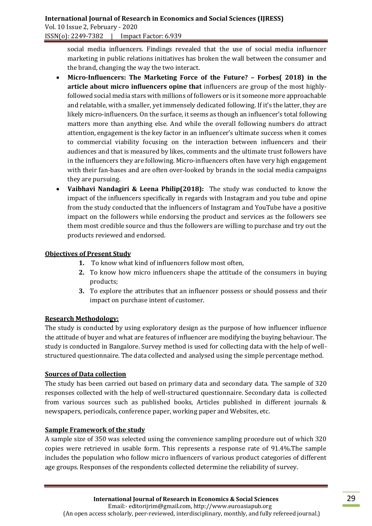social media influencers. Findings revealed that the use of social media influencer marketing in public relations initiatives has broken the wall between the consumer and the brand, changing the way the two interact.

- **Micro-Influencers: The Marketing Force of the Future? – Forbes( 2018) in the article about micro influencers opine that** influencers are group of the most highlyfollowed social media stars with millions of followers or is it someone more approachable and relatable, with a smaller, yet immensely dedicated following. If it's the latter, they are likely micro-influencers. On the surface, it seems as though an influencer's total following matters more than anything else. And while the overall following numbers do attract attention, engagement is the key factor in an influencer's ultimate success when it comes to commercial viability focusing on the interaction between influencers and their audiences and that is measured by likes, comments and the ultimate trust followers have in the influencers they are following. Micro-influencers often have very high engagement with their fan-bases and are often over-looked by brands in the social media campaigns they are pursuing.
- **Vaibhavi Nandagiri & Leena Philip(2018):** The study was conducted to know the impact of the influencers specifically in regards with Instagram and you tube and opine from the study conducted that the influencers of Instagram and YouTube have a positive impact on the followers while endorsing the product and services as the followers see them most credible source and thus the followers are willing to purchase and try out the products reviewed and endorsed.

#### **Objectives of Present Study**

- **1.** To know what kind of influencers follow most often,
- **2.** To know how micro influencers shape the attitude of the consumers in buying products;
- **3.** To explore the attributes that an influencer possess or should possess and their impact on purchase intent of customer.

## **Research Methodology:**

The study is conducted by using exploratory design as the purpose of how influencer influence the attitude of buyer and what are features of influencer are modifying the buying behaviour. The study is conducted in Bangalore. Survey method is used for collecting data with the help of wellstructured questionnaire. The data collected and analysed using the simple percentage method.

## **Sources of Data collection**

The study has been carried out based on primary data and secondary data. The sample of 320 responses collected with the help of well-structured questionnaire. Secondary data is collected from various sources such as published books, Articles published in different journals & newspapers, periodicals, conference paper, working paper and Websites, etc.

## **Sample Framework of the study**

A sample size of 350 was selected using the convenience sampling procedure out of which 320 copies were retrieved in usable form. This represents a response rate of 91.4%.The sample includes the population who follow micro influencers of various product categories of different age groups. Responses of the respondents collected determine the reliability of survey.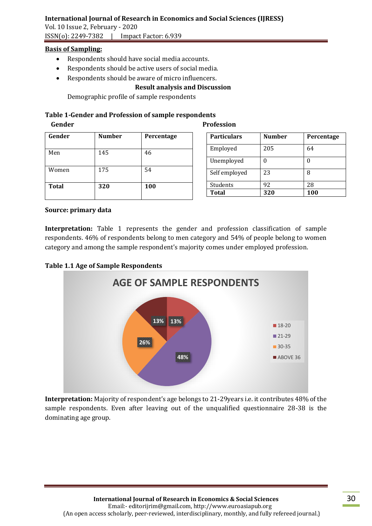## **International Journal of Research in Economics and Social Sciences (IJRESS)**

Vol. 10 Issue 2, February - 2020 ISSN(o): 2249-7382 | Impact Factor: 6.939

#### **Basis of Sampling:**

- Respondents should have social media accounts.
- Respondents should be active users of social media.
- Respondents should be aware of micro influencers.

#### **Result analysis and Discussion**

Demographic profile of sample respondents

# **Table 1-Gender and Profession of sample respondents**

 **Gender Profession**

| Gender       | <b>Number</b> | Percentage |
|--------------|---------------|------------|
| Men          | 145           | 46         |
| Women        | 175           | 54         |
| <b>Total</b> | 320           | 100        |

| <b>Particulars</b> | <b>Number</b> | Percentage |
|--------------------|---------------|------------|
| Employed           | 205           | 64         |
| Unemployed         |               | O          |
| Self employed      | 23            | 8          |
| Students           | 92            | 28         |
| <b>Total</b>       | 320           | 100        |

#### **Source: primary data**

**Interpretation:** Table 1 represents the gender and profession classification of sample respondents. 46% of respondents belong to men category and 54% of people belong to women category and among the sample respondent's majority comes under employed profession.

#### **Table 1.1 Age of Sample Respondents**



**Interpretation:** Majority of respondent's age belongs to 21-29years i.e. it contributes 48% of the sample respondents. Even after leaving out of the unqualified questionnaire 28-38 is the dominating age group.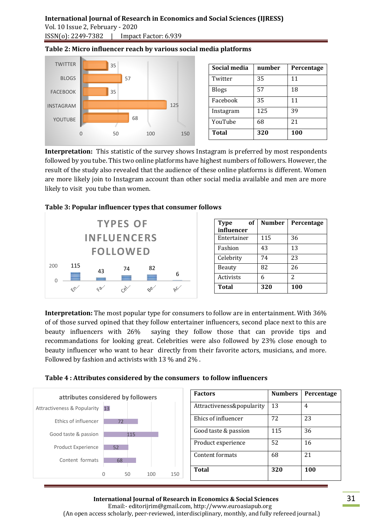# **International Journal of Research in Economics and Social Sciences (IJRESS)**  Vol. 10 Issue 2, February - 2020

ISSN(o): 2249-7382 | Impact Factor: 6.939

#### 0 50 100 150 YOUTUBE INSTAGRAM FACEBOOK BLOGS **TWITTER** 68 125 35 57 35 **Social media number Percentage** Twitter | 35 | 11 Blogs 57 18 Facebook 35 11 Instagram 125 39 YouTube 68 21 **Total 320 100**

**Table 2: Micro influencer reach by various social media platforms**

**Interpretation:** This statistic of the survey shows Instagram is preferred by most respondents followed by you tube. This two online platforms have highest numbers of followers. However, the result of the study also revealed that the audience of these online platforms is different. Women are more likely join to Instagram account than other social media available and men are more likely to visit you tube than women.





| оf<br><b>Type</b> | Number | Percentage    |
|-------------------|--------|---------------|
| influencer        |        |               |
| Entertainer       | 115    | 36            |
| Fashion           | 43     | 13            |
| Celebrity         | 74     | 23            |
| Beauty            | 82     | 26            |
| Activists         | 6      | $\mathcal{L}$ |
| <b>Total</b>      | 320    | 100           |

**Interpretation:** The most popular type for consumers to follow are in entertainment. With 36% of of those surved opined that they follow entertainer influencers, second place next to this are beauty influencers with 26% saying they follow those that can provide tips and recommandations for looking great. Celebrities were also followed by 23% close enough to beauty influencer who want to hear directly from their favorite actors, musicians, and more. Followed by fashion and activists with 13 % and 2% .





# **International Journal of Research in Economics & Social Sciences**

 Email:- editorijrim@gmail.com, http://www.euroasiapub.org (An open access scholarly, peer-reviewed, interdisciplinary, monthly, and fully refereed journal.)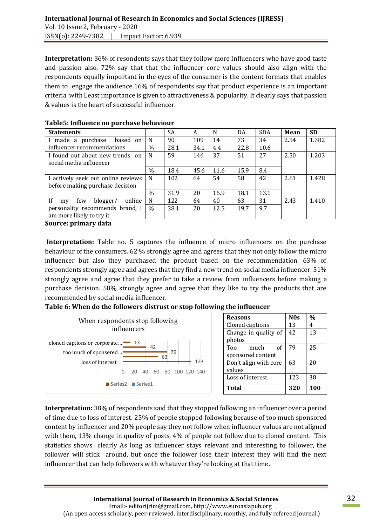**Interpretation:** 36% of resondents says that they follow more Influencers who have good taste and passion also, 72% say that that the influencer core values should also align with the respondents equally important in the eyes of the consumer is the content formats that enables them to engage the audience.16% of respondents say that product experience is an important criteria. with Least importance is given to attractiveness & popularity. It clearly says that passion & values is the heart of successful influencer.

| <b>Statements</b>                     |               | <b>SA</b> | A    | N    | DA   | <b>SDA</b> | Mean | <b>SD</b> |
|---------------------------------------|---------------|-----------|------|------|------|------------|------|-----------|
| made a purchase<br>based on           | N             | 90        | 109  | 14   | 73   | 34         | 2.54 | 1.382     |
| influencer recommendations            | $\frac{0}{0}$ | 28.1      | 34.1 | 4.4  | 22.8 | 10.6       |      |           |
| I found out about new trends on       | N             | 59        | 146  | 37   | 51   | 27         | 2.50 | 1.203     |
| social media influencer               |               |           |      |      |      |            |      |           |
|                                       | $\%$          | 18.4      | 45.6 | 11.6 | 15.9 | 8.4        |      |           |
| I actively seek out online reviews    | N             | 102       | 64   | 54   | 58   | 42         | 2.61 | 1.428     |
| before making purchase decision       |               |           |      |      |      |            |      |           |
|                                       | $\frac{0}{0}$ | 31.9      | 20   | 16.9 | 18.1 | 13.1       |      |           |
| If<br>online<br>blogger/<br>few<br>my | N             | 122       | 64   | 40   | 63   | 31         | 2.43 | 1.410     |
| personality recommends brand, I       | $\%$          | 38.1      | 20   | 12.5 | 19.7 | 9.7        |      |           |
| am more likely to try it              |               |           |      |      |      |            |      |           |
| Common control come letter            |               |           |      |      |      |            |      |           |

#### **Table5: Influence on purchase behaviour**

**Source: primary data**

Interpretation: Table no. 5 captures the influence of micro influencers on the purchase behaviour of the consumers. 62 % strongly agree and agrees that they not only follow the micro influencer but also they purchased the product based on the recommendation. 63% of respondents strongly agree and agrees that they find a new trend on social media influencer. 51% strongly agree and agree that they prefer to take a review from influencers before making a purchase decision. 58% strongly agree and agree that they like to try the products that are recommended by social media influencer.

## **Table 6: When do the followers distrust or stop following the influencer**



| <b>Reasons</b>        | N <sub>0s</sub> | $\frac{0}{0}$ |
|-----------------------|-----------------|---------------|
| Cloned captions       | 13              | 4             |
| Change in quality of  | 42              | 13            |
| photos                |                 |               |
| Too<br>of<br>much     | 79              | 25            |
| sponsored content     |                 |               |
| Don't align with core | 63              | 20            |
| values                |                 |               |
| Loss of interest      | 123             | 38            |
| <b>Total</b>          | 320             | 100           |

**Interpretation:** 38% of respondents said that they stopped following an influencer over a period of time due to loss of interest. 25% of people stopped following because of too much sponsored content by influencer and 20% people say they not follow when influencer values are not aligned with them, 13% change in quality of posts, 4% of people not follow due to cloned content. This statistics shows clearly As long as influencer stays relevant and interesting to follower, the follower will stick around, but once the follower lose their interest they will find the next influencer that can help followers with whatever they're looking at that time.